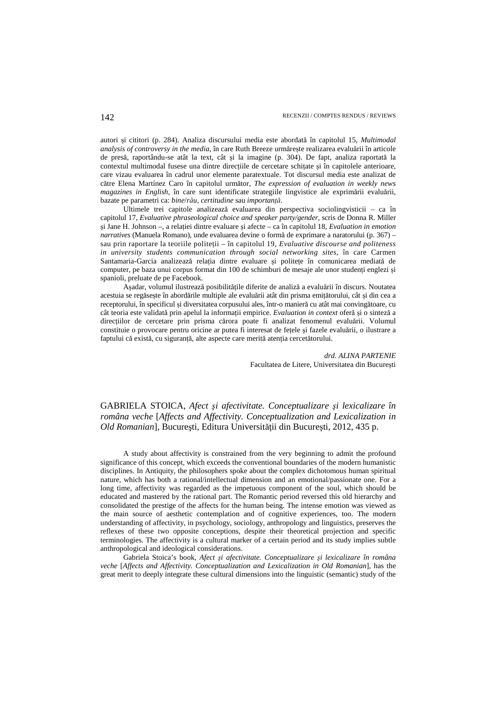autori și cititori (p. 284). Analiza discursului media este abordată în capitolul 15, *Multimodal analysis of controversy in the media,* în care Ruth Breeze urmărește realizarea evaluării în articole de presă, raportându-se atât la text, cât și la imagine (p. 304). De fapt, analiza raportată la contextul multimodal fusese una dintre direcțiile de cercetare schițate și în capitolele anterioare, care vizau evaluarea în cadrul unor elemente paratextuale. Tot discursul media este analizat de către Elena Martínez Caro în capitolul următor, *The expression of evaluation in weekly news magazines in English*, în care sunt identificate strategiile lingvistice ale exprimării evaluării, bazate pe parametri ca: *bine*/*rău*, *certitudine* sau *importanță*.

Ultimele trei capitole analizează evaluarea din perspectiva sociolingvisticii – ca în capitolul 17, *Evaluative phraseological choice and speaker party/gender*, scris de Donna R. Miller și Jane H. Johnson –, a relației dintre evaluare și afecte – ca în capitolul 18, *Evaluation in emotion narratives* (Manuela Romano), unde evaluarea devine o formă de exprimare a naratorului (p. 367) – sau prin raportare la teoriile politeții – în capitolul 19, *Evaluative discourse and politeness in university students communication through social networking sites*, în care Carmen Santamaria-Garcia analizează relația dintre evaluare și politețe în comunicarea mediată de computer, pe baza unui corpus format din 100 de schimburi de mesaje ale unor studenți englezi și spanioli, preluate de pe Facebook.

Așadar, volumul ilustrează posibilitățile diferite de analiză a evaluării în discurs. Noutatea acestuia se regăsește în abordările multiple ale evaluării atât din prisma emițătorului, cât și din cea a receptorului, în specificul și diversitatea corpusului ales, într-o manieră cu atât mai convingătoare, cu cât teoria este validată prin apelul la informații empirice. *Evaluation in context* oferă și o sinteză a direcțiilor de cercetare prin prisma cărora poate fi analizat fenomenul evaluării. Volumul constituie o provocare pentru oricine ar putea fi interesat de fețele și fazele evaluării, o ilustrare a faptului că există, cu siguranță, alte aspecte care merită atenția cercetătorului.

## *drd. ALINA PARTENIE*  Facultatea de Litere, Universitatea din București

GABRIELA STOICA, *Afect şi afectivitate. Conceptualizare şi lexicalizare în româna veche* [*Affects and Affectivity. Conceptualization and Lexicalization in Old Romanian*], Bucureşti, Editura Universităţii din Bucureşti, 2012, 435 p.

A study about affectivity is constrained from the very beginning to admit the profound significance of this concept, which exceeds the conventional boundaries of the modern humanistic disciplines. In Antiquity, the philosophers spoke about the complex dichotomous human spiritual nature, which has both a rational/intellectual dimension and an emotional/passionate one. For a long time, affectivity was regarded as the impetuous component of the soul, which should be educated and mastered by the rational part. The Romantic period reversed this old hierarchy and consolidated the prestige of the affects for the human being. The intense emotion was viewed as the main source of aesthetic contemplation and of cognitive experiences, too. The modern understanding of affectivity, in psychology, sociology, anthropology and linguistics, preserves the reflexes of these two opposite conceptions, despite their theoretical projection and specific terminologies. The affectivity is a cultural marker of a certain period and its study implies subtle anthropological and ideological considerations.

Gabriela Stoica's book, *Afect şi afectivitate. Conceptualizare şi lexicalizare în româna veche* [*Affects and Affectivity. Conceptualization and Lexicalization in Old Romanian*], has the great merit to deeply integrate these cultural dimensions into the linguistic (semantic) study of the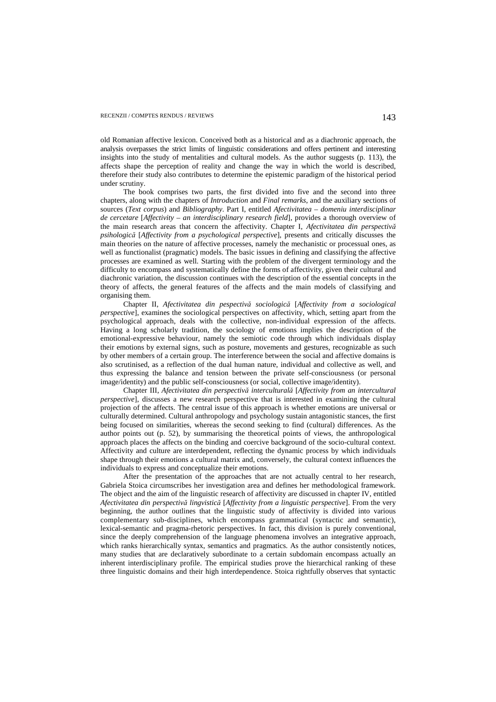old Romanian affective lexicon. Conceived both as a historical and as a diachronic approach, the analysis overpasses the strict limits of linguistic considerations and offers pertinent and interesting insights into the study of mentalities and cultural models. As the author suggests (p. 113), the affects shape the perception of reality and change the way in which the world is described, therefore their study also contributes to determine the epistemic paradigm of the historical period under scrutiny.

The book comprises two parts, the first divided into five and the second into three chapters, along with the chapters of *Introduction* and *Final remarks*, and the auxiliary sections of sources (*Text corpus*) and *Bibliography*. Part I, entitled *Afectivitatea – domeniu interdisciplinar de cercetare* [*Affectivity – an interdisciplinary research field*], provides a thorough overview of the main research areas that concern the affectivity. Chapter I, *Afectivitatea din perspectivă psihologică* [*Affectivity from a psychological perspective*], presents and critically discusses the main theories on the nature of affective processes, namely the mechanistic or processual ones, as well as functionalist (pragmatic) models. The basic issues in defining and classifying the affective processes are examined as well. Starting with the problem of the divergent terminology and the difficulty to encompass and systematically define the forms of affectivity, given their cultural and diachronic variation, the discussion continues with the description of the essential concepts in the theory of affects, the general features of the affects and the main models of classifying and organising them.

Chapter II, *Afectivitatea din pespectivă sociologică* [*Affectivity from a sociological perspective*], examines the sociological perspectives on affectivity, which, setting apart from the psychological approach, deals with the collective, non-individual expression of the affects. Having a long scholarly tradition, the sociology of emotions implies the description of the emotional-expressive behaviour, namely the semiotic code through which individuals display their emotions by external signs, such as posture, movements and gestures, recognizable as such by other members of a certain group. The interference between the social and affective domains is also scrutinised, as a reflection of the dual human nature, individual and collective as well, and thus expressing the balance and tension between the private self-consciousness (or personal image/identity) and the public self-consciousness (or social, collective image/identity).

Chapter III, *Afectivitatea din perspectivă interculturală* [*Affectivity from an intercultural perspective*], discusses a new research perspective that is interested in examining the cultural projection of the affects. The central issue of this approach is whether emotions are universal or culturally determined. Cultural anthropology and psychology sustain antagonistic stances, the first being focused on similarities, whereas the second seeking to find (cultural) differences. As the author points out (p. 52), by summarising the theoretical points of views, the anthropological approach places the affects on the binding and coercive background of the socio-cultural context. Affectivity and culture are interdependent, reflecting the dynamic process by which individuals shape through their emotions a cultural matrix and, conversely, the cultural context influences the individuals to express and conceptualize their emotions.

After the presentation of the approaches that are not actually central to her research, Gabriela Stoica circumscribes her investigation area and defines her methodological framework. The object and the aim of the linguistic research of affectivity are discussed in chapter IV, entitled *Afectivitatea din perspectivă lingvistică* [*Affectivity from a linguistic perspective*]. From the very beginning, the author outlines that the linguistic study of affectivity is divided into various complementary sub-disciplines, which encompass grammatical (syntactic and semantic), lexical-semantic and pragma-rhetoric perspectives. In fact, this division is purely conventional, since the deeply comprehension of the language phenomena involves an integrative approach, which ranks hierarchically syntax, semantics and pragmatics. As the author consistently notices, many studies that are declaratively subordinate to a certain subdomain encompass actually an inherent interdisciplinary profile. The empirical studies prove the hierarchical ranking of these three linguistic domains and their high interdependence. Stoica rightfully observes that syntactic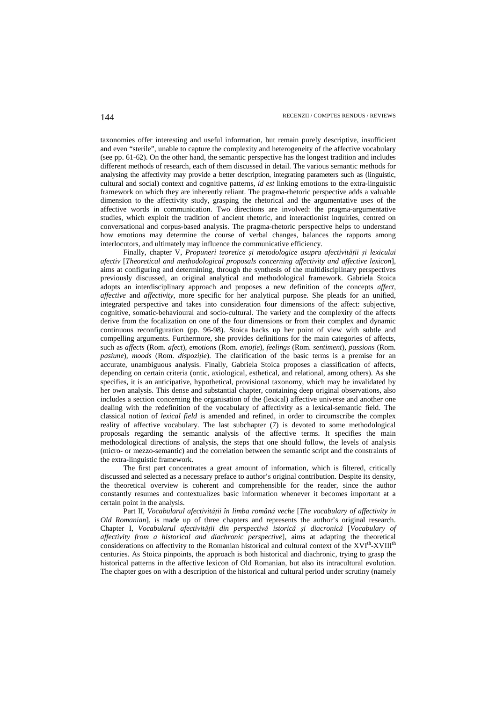taxonomies offer interesting and useful information, but remain purely descriptive, insufficient and even "sterile", unable to capture the complexity and heterogeneity of the affective vocabulary (see pp. 61-62). On the other hand, the semantic perspective has the longest tradition and includes different methods of research, each of them discussed in detail. The various semantic methods for analysing the affectivity may provide a better description, integrating parameters such as (linguistic, cultural and social) context and cognitive patterns, *id est* linking emotions to the extra-linguistic framework on which they are inherently reliant. The pragma-rhetoric perspective adds a valuable dimension to the affectivity study, grasping the rhetorical and the argumentative uses of the affective words in communication. Two directions are involved: the pragma-argumentative studies, which exploit the tradition of ancient rhetoric, and interactionist inquiries, centred on conversational and corpus-based analysis. The pragma-rhetoric perspective helps to understand how emotions may determine the course of verbal changes, balances the rapports among interlocutors, and ultimately may influence the communicative efficiency.

Finally, chapter V, *Propuneri teoretice și metodologice asupra afectivității și lexicului afectiv* [*Theoretical and methodological proposals concerning affectivity and affective lexicon*], aims at configuring and determining, through the synthesis of the multidisciplinary perspectives previously discussed, an original analytical and methodological framework. Gabriela Stoica adopts an interdisciplinary approach and proposes a new definition of the concepts *affect, affective* and *affectivity*, more specific for her analytical purpose. She pleads for an unified, integrated perspective and takes into consideration four dimensions of the affect: subjective, cognitive, somatic-behavioural and socio-cultural. The variety and the complexity of the affects derive from the focalization on one of the four dimensions or from their complex and dynamic continuous reconfiguration (pp. 96-98). Stoica backs up her point of view with subtle and compelling arguments. Furthermore, she provides definitions for the main categories of affects, such as *affects* (Rom. *afect*)*, emotions* (Rom. *emoţie*)*, feelings* (Rom. *sentiment*)*, passions* (Rom. *pasiune*)*, moods* (Rom. *dispoziţie*). The clarification of the basic terms is a premise for an accurate, unambiguous analysis. Finally, Gabriela Stoica proposes a classification of affects, depending on certain criteria (ontic, axiological, esthetical, and relational, among others). As she specifies, it is an anticipative, hypothetical, provisional taxonomy, which may be invalidated by her own analysis. This dense and substantial chapter, containing deep original observations, also includes a section concerning the organisation of the (lexical) affective universe and another one dealing with the redefinition of the vocabulary of affectivity as a lexical-semantic field. The classical notion of *lexical field* is amended and refined, in order to circumscribe the complex reality of affective vocabulary. The last subchapter (7) is devoted to some methodological proposals regarding the semantic analysis of the affective terms. It specifies the main methodological directions of analysis, the steps that one should follow, the levels of analysis (micro- or mezzo-semantic) and the correlation between the semantic script and the constraints of the extra-linguistic framework.

The first part concentrates a great amount of information, which is filtered, critically discussed and selected as a necessary preface to author's original contribution. Despite its density, the theoretical overview is coherent and comprehensible for the reader, since the author constantly resumes and contextualizes basic information whenever it becomes important at a certain point in the analysis.

Part II, *Vocabularul afectivității în limba română veche* [*The vocabulary of affectivity in Old Romanian*], is made up of three chapters and represents the author's original research. Chapter I, *Vocabularul afectivității din perspectivă istorică și diacronică* [*Vocabulary of affectivity from a historical and diachronic perspective*], aims at adapting the theoretical considerations on affectivity to the Romanian historical and cultural context of the XVIth-XVIIIth centuries. As Stoica pinpoints, the approach is both historical and diachronic, trying to grasp the historical patterns in the affective lexicon of Old Romanian, but also its intracultural evolution. The chapter goes on with a description of the historical and cultural period under scrutiny (namely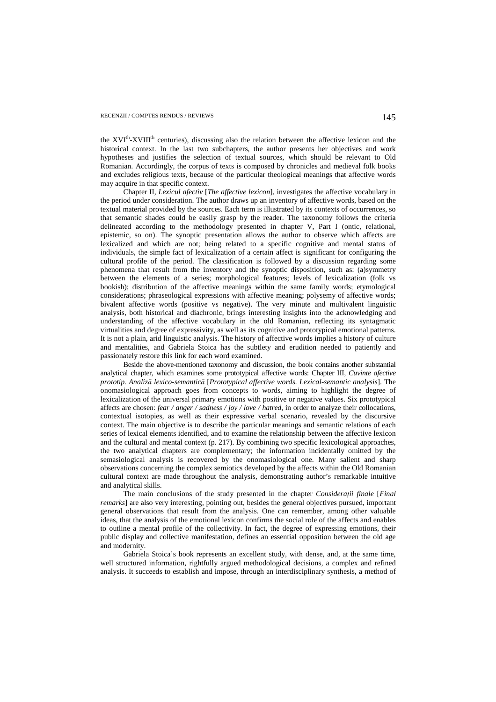the XVI<sup>th</sup>-XVIII<sup>th</sup> centuries), discussing also the relation between the affective lexicon and the historical context. In the last two subchapters, the author presents her objectives and work hypotheses and justifies the selection of textual sources, which should be relevant to Old Romanian. Accordingly, the corpus of texts is composed by chronicles and medieval folk books and excludes religious texts, because of the particular theological meanings that affective words may acquire in that specific context.

Chapter II, *Lexicul afectiv* [*The affective lexicon*], investigates the affective vocabulary in the period under consideration. The author draws up an inventory of affective words, based on the textual material provided by the sources. Each term is illustrated by its contexts of occurrences, so that semantic shades could be easily grasp by the reader. The taxonomy follows the criteria delineated according to the methodology presented in chapter V, Part I (ontic, relational, epistemic, so on). The synoptic presentation allows the author to observe which affects are lexicalized and which are not; being related to a specific cognitive and mental status of individuals, the simple fact of lexicalization of a certain affect is significant for configuring the cultural profile of the period. The classification is followed by a discussion regarding some phenomena that result from the inventory and the synoptic disposition, such as: (a)symmetry between the elements of a series; morphological features; levels of lexicalization (folk vs bookish); distribution of the affective meanings within the same family words; etymological considerations; phraseological expressions with affective meaning; polysemy of affective words; bivalent affective words (positive vs negative). The very minute and multivalent linguistic analysis, both historical and diachronic, brings interesting insights into the acknowledging and understanding of the affective vocabulary in the old Romanian, reflecting its syntagmatic virtualities and degree of expressivity, as well as its cognitive and prototypical emotional patterns. It is not a plain, arid linguistic analysis. The history of affective words implies a history of culture and mentalities, and Gabriela Stoica has the subtlety and erudition needed to patiently and passionately restore this link for each word examined.

Beside the above-mentioned taxonomy and discussion, the book contains another substantial analytical chapter, which examines some prototypical affective words: Chapter III, *Cuvinte afective prototip. Analiză lexico-semantică* [*Prototypical affective words. Lexical-semantic analysis*]. The onomasiological approach goes from concepts to words, aiming to highlight the degree of lexicalization of the universal primary emotions with positive or negative values. Six prototypical affects are chosen: *fear / anger / sadness / joy / love / hatred*, in order to analyze their collocations, contextual isotopies, as well as their expressive verbal scenario, revealed by the discursive context. The main objective is to describe the particular meanings and semantic relations of each series of lexical elements identified, and to examine the relationship between the affective lexicon and the cultural and mental context (p. 217). By combining two specific lexicological approaches, the two analytical chapters are complementary; the information incidentally omitted by the semasiological analysis is recovered by the onomasiological one. Many salient and sharp observations concerning the complex semiotics developed by the affects within the Old Romanian cultural context are made throughout the analysis, demonstrating author's remarkable intuitive and analytical skills.

The main conclusions of the study presented in the chapter *Considerații finale* [*Final remarks*] are also very interesting, pointing out, besides the general objectives pursued, important general observations that result from the analysis. One can remember, among other valuable ideas, that the analysis of the emotional lexicon confirms the social role of the affects and enables to outline a mental profile of the collectivity. In fact, the degree of expressing emotions, their public display and collective manifestation, defines an essential opposition between the old age and modernity.

Gabriela Stoica's book represents an excellent study, with dense, and, at the same time, well structured information, rightfully argued methodological decisions, a complex and refined analysis. It succeeds to establish and impose, through an interdisciplinary synthesis, a method of